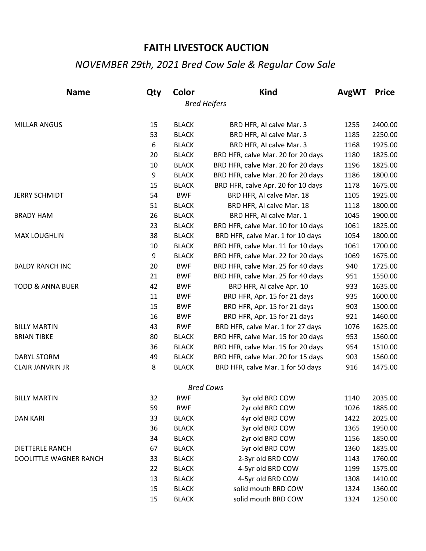## **FAITH LIVESTOCK AUCTION**

## *NOVEMBER 29th, 2021 Bred Cow Sale & Regular Cow Sale*

| <b>Name</b>                 | Qty | Color        | <b>Kind</b>                        | AvgWT | <b>Price</b> |
|-----------------------------|-----|--------------|------------------------------------|-------|--------------|
|                             |     |              | <b>Bred Heifers</b>                |       |              |
| <b>MILLAR ANGUS</b>         | 15  | <b>BLACK</b> | BRD HFR, AI calve Mar. 3           | 1255  | 2400.00      |
|                             | 53  | <b>BLACK</b> | BRD HFR, AI calve Mar. 3           | 1185  | 2250.00      |
|                             | 6   | <b>BLACK</b> | BRD HFR, AI calve Mar. 3           | 1168  | 1925.00      |
|                             | 20  | <b>BLACK</b> | BRD HFR, calve Mar. 20 for 20 days | 1180  | 1825.00      |
|                             | 10  | <b>BLACK</b> | BRD HFR, calve Mar. 20 for 20 days | 1196  | 1825.00      |
|                             | 9   | <b>BLACK</b> | BRD HFR, calve Mar. 20 for 20 days | 1186  | 1800.00      |
|                             | 15  | <b>BLACK</b> | BRD HFR, calve Apr. 20 for 10 days | 1178  | 1675.00      |
| <b>JERRY SCHMIDT</b>        | 54  | <b>BWF</b>   | BRD HFR, AI calve Mar. 18          | 1105  | 1925.00      |
|                             | 51  | <b>BLACK</b> | BRD HFR, AI calve Mar. 18          | 1118  | 1800.00      |
| <b>BRADY HAM</b>            | 26  | <b>BLACK</b> | BRD HFR, AI calve Mar. 1           | 1045  | 1900.00      |
|                             | 23  | <b>BLACK</b> | BRD HFR, calve Mar. 10 for 10 days | 1061  | 1825.00      |
| <b>MAX LOUGHLIN</b>         | 38  | <b>BLACK</b> | BRD HFR, calve Mar. 1 for 10 days  | 1054  | 1800.00      |
|                             | 10  | <b>BLACK</b> | BRD HFR, calve Mar. 11 for 10 days | 1061  | 1700.00      |
|                             | 9   | <b>BLACK</b> | BRD HFR, calve Mar. 22 for 20 days | 1069  | 1675.00      |
| <b>BALDY RANCH INC</b>      | 20  | <b>BWF</b>   | BRD HFR, calve Mar. 25 for 40 days | 940   | 1725.00      |
|                             | 21  | <b>BWF</b>   | BRD HFR, calve Mar. 25 for 40 days | 951   | 1550.00      |
| <b>TODD &amp; ANNA BUER</b> | 42  | <b>BWF</b>   | BRD HFR, AI calve Apr. 10          | 933   | 1635.00      |
|                             | 11  | <b>BWF</b>   | BRD HFR, Apr. 15 for 21 days       | 935   | 1600.00      |
|                             | 15  | <b>BWF</b>   | BRD HFR, Apr. 15 for 21 days       | 903   | 1500.00      |
|                             | 16  | <b>BWF</b>   | BRD HFR, Apr. 15 for 21 days       | 921   | 1460.00      |
| <b>BILLY MARTIN</b>         | 43  | <b>RWF</b>   | BRD HFR, calve Mar. 1 for 27 days  | 1076  | 1625.00      |
| <b>BRIAN TIBKE</b>          | 80  | <b>BLACK</b> | BRD HFR, calve Mar. 15 for 20 days | 953   | 1560.00      |
|                             | 36  | <b>BLACK</b> | BRD HFR, calve Mar. 15 for 20 days | 954   | 1510.00      |
| <b>DARYL STORM</b>          | 49  | <b>BLACK</b> | BRD HFR, calve Mar. 20 for 15 days | 903   | 1560.00      |
| <b>CLAIR JANVRIN JR</b>     | 8   | <b>BLACK</b> | BRD HFR, calve Mar. 1 for 50 days  | 916   | 1475.00      |
|                             |     |              | <b>Bred Cows</b>                   |       |              |
| <b>BILLY MARTIN</b>         | 32  | RWF          | 3yr old BRD COW                    | 1140  | 2035.00      |
|                             | 59  | <b>RWF</b>   | 2yr old BRD COW                    | 1026  | 1885.00      |
| <b>DAN KARI</b>             | 33  | <b>BLACK</b> | 4yr old BRD COW                    | 1422  | 2025.00      |
|                             | 36  | <b>BLACK</b> | 3yr old BRD COW                    | 1365  | 1950.00      |
|                             | 34  | <b>BLACK</b> | 2yr old BRD COW                    | 1156  | 1850.00      |
| <b>DIETTERLE RANCH</b>      | 67  | <b>BLACK</b> | 5yr old BRD COW                    | 1360  | 1835.00      |
| DOOLITTLE WAGNER RANCH      | 33  | <b>BLACK</b> | 2-3yr old BRD COW                  | 1143  | 1760.00      |
|                             | 22  | <b>BLACK</b> | 4-5yr old BRD COW                  | 1199  | 1575.00      |
|                             | 13  | <b>BLACK</b> | 4-5yr old BRD COW                  | 1308  | 1410.00      |
|                             | 15  | <b>BLACK</b> | solid mouth BRD COW                | 1324  | 1360.00      |
|                             | 15  | <b>BLACK</b> | solid mouth BRD COW                | 1324  | 1250.00      |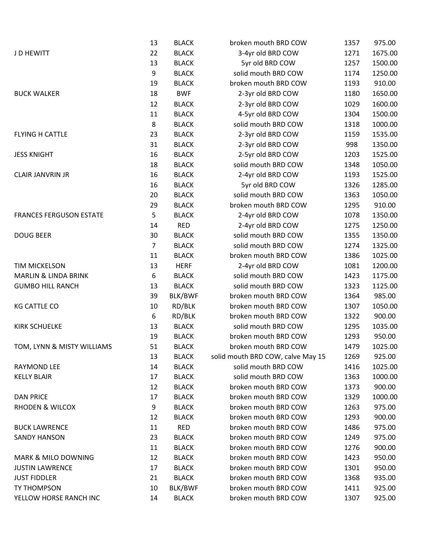|                                 | 13             | <b>BLACK</b> | broken mouth BRD COW              | 1357 | 975.00  |
|---------------------------------|----------------|--------------|-----------------------------------|------|---------|
| J D HEWITT                      | 22             | <b>BLACK</b> | 3-4yr old BRD COW                 | 1271 | 1675.00 |
|                                 | 13             | <b>BLACK</b> | 5yr old BRD COW                   | 1257 | 1500.00 |
|                                 | 9              | <b>BLACK</b> | solid mouth BRD COW               | 1174 | 1250.00 |
|                                 | 19             | <b>BLACK</b> | broken mouth BRD COW              | 1193 | 910.00  |
| <b>BUCK WALKER</b>              | 18             | <b>BWF</b>   | 2-3yr old BRD COW                 | 1180 | 1650.00 |
|                                 | 12             | <b>BLACK</b> | 2-3yr old BRD COW                 | 1029 | 1600.00 |
|                                 | 11             | <b>BLACK</b> | 4-5yr old BRD COW                 | 1304 | 1500.00 |
|                                 | 8              | <b>BLACK</b> | solid mouth BRD COW               | 1318 | 1000.00 |
| FLYING H CATTLE                 | 23             | <b>BLACK</b> | 2-3yr old BRD COW                 | 1159 | 1535.00 |
|                                 | 31             | <b>BLACK</b> | 2-3yr old BRD COW                 | 998  | 1350.00 |
| <b>JESS KNIGHT</b>              | 16             | <b>BLACK</b> | 2-5yr old BRD COW                 | 1203 | 1525.00 |
|                                 | 18             | <b>BLACK</b> | solid mouth BRD COW               | 1348 | 1050.00 |
| <b>CLAIR JANVRIN JR</b>         | 16             | <b>BLACK</b> | 2-4yr old BRD COW                 | 1193 | 1525.00 |
|                                 | 16             | <b>BLACK</b> | 5yr old BRD COW                   | 1326 | 1285.00 |
|                                 | 20             | <b>BLACK</b> | solid mouth BRD COW               | 1363 | 1050.00 |
|                                 | 29             | <b>BLACK</b> | broken mouth BRD COW              | 1295 | 910.00  |
| <b>FRANCES FERGUSON ESTATE</b>  | 5              | <b>BLACK</b> | 2-4yr old BRD COW                 | 1078 | 1350.00 |
|                                 | 14             | <b>RED</b>   | 2-4yr old BRD COW                 | 1275 | 1250.00 |
| <b>DOUG BEER</b>                | 30             | <b>BLACK</b> | solid mouth BRD COW               | 1355 | 1350.00 |
|                                 | $\overline{7}$ | <b>BLACK</b> | solid mouth BRD COW               | 1274 | 1325.00 |
|                                 | 11             | <b>BLACK</b> | broken mouth BRD COW              | 1386 | 1025.00 |
| <b>TIM MICKELSON</b>            | 13             | <b>HERF</b>  | 2-4yr old BRD COW                 | 1081 | 1200.00 |
| <b>MARLIN &amp; LINDA BRINK</b> | 6              | <b>BLACK</b> | solid mouth BRD COW               | 1423 | 1175.00 |
| <b>GUMBO HILL RANCH</b>         | 13             | <b>BLACK</b> | solid mouth BRD COW               | 1323 | 1125.00 |
|                                 | 39             | BLK/BWF      | broken mouth BRD COW              | 1364 | 985.00  |
| <b>KG CATTLE CO</b>             | 10             | RD/BLK       | broken mouth BRD COW              | 1307 | 1050.00 |
|                                 | 6              | RD/BLK       | broken mouth BRD COW              | 1322 | 900.00  |
| <b>KIRK SCHUELKE</b>            | 13             | <b>BLACK</b> | solid mouth BRD COW               | 1295 | 1035.00 |
|                                 | 19             | <b>BLACK</b> | broken mouth BRD COW              | 1293 | 950.00  |
| TOM, LYNN & MISTY WILLIAMS      | 51             | <b>BLACK</b> | broken mouth BRD COW              | 1479 | 1025.00 |
|                                 | 13             | <b>BLACK</b> | solid mouth BRD COW, calve May 15 | 1269 | 925.00  |
| <b>RAYMOND LEE</b>              | 14             | <b>BLACK</b> | solid mouth BRD COW               | 1416 | 1025.00 |
| <b>KELLY BLAIR</b>              | 17             | <b>BLACK</b> | solid mouth BRD COW               | 1363 | 1000.00 |
|                                 | 12             | <b>BLACK</b> | broken mouth BRD COW              | 1373 | 900.00  |
| <b>DAN PRICE</b>                | 17             | <b>BLACK</b> | broken mouth BRD COW              | 1329 | 1000.00 |
| <b>RHODEN &amp; WILCOX</b>      | 9              | <b>BLACK</b> | broken mouth BRD COW              | 1263 | 975.00  |
|                                 | 12             | <b>BLACK</b> | broken mouth BRD COW              | 1293 | 900.00  |
| <b>BUCK LAWRENCE</b>            | 11             | <b>RED</b>   | broken mouth BRD COW              | 1486 | 975.00  |
| <b>SANDY HANSON</b>             | 23             | <b>BLACK</b> | broken mouth BRD COW              | 1249 | 975.00  |
|                                 | 11             | <b>BLACK</b> | broken mouth BRD COW              | 1276 | 900.00  |
| <b>MARK &amp; MILO DOWNING</b>  | 12             | <b>BLACK</b> | broken mouth BRD COW              | 1423 | 950.00  |
| <b>JUSTIN LAWRENCE</b>          | 17             | <b>BLACK</b> | broken mouth BRD COW              | 1301 | 950.00  |
| <b>JUST FIDDLER</b>             | 21             | <b>BLACK</b> | broken mouth BRD COW              | 1368 | 935.00  |
| TY THOMPSON                     | 10             | BLK/BWF      | broken mouth BRD COW              | 1411 | 925.00  |
| YELLOW HORSE RANCH INC          | 14             | <b>BLACK</b> | broken mouth BRD COW              | 1307 | 925.00  |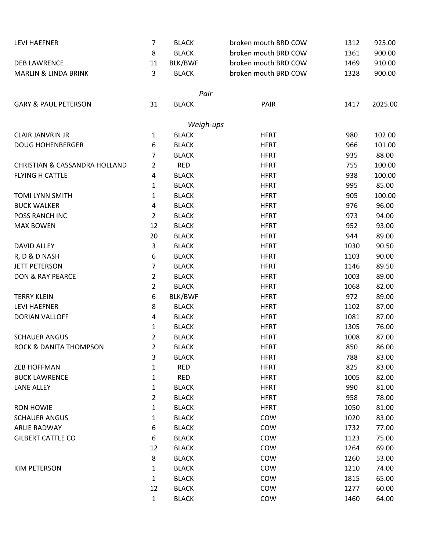| <b>LEVI HAEFNER</b>                      | 7              | <b>BLACK</b>                 | broken mouth BRD COW | 1312 | 925.00  |
|------------------------------------------|----------------|------------------------------|----------------------|------|---------|
|                                          | 8              | <b>BLACK</b>                 | broken mouth BRD COW | 1361 | 900.00  |
| <b>DEB LAWRENCE</b>                      | 11             | BLK/BWF                      | broken mouth BRD COW | 1469 | 910.00  |
| <b>MARLIN &amp; LINDA BRINK</b>          | 3              | <b>BLACK</b>                 | broken mouth BRD COW | 1328 | 900.00  |
|                                          |                |                              |                      |      |         |
|                                          |                | Pair                         |                      |      |         |
| <b>GARY &amp; PAUL PETERSON</b>          | 31             | <b>BLACK</b>                 | PAIR                 | 1417 | 2025.00 |
|                                          |                |                              |                      |      |         |
|                                          |                | Weigh-ups                    |                      |      |         |
| <b>CLAIR JANVRIN JR</b>                  | 1              | <b>BLACK</b>                 | <b>HFRT</b>          | 980  | 102.00  |
| <b>DOUG HOHENBERGER</b>                  | 6              | <b>BLACK</b>                 | <b>HFRT</b>          | 966  | 101.00  |
|                                          | 7              | <b>BLACK</b>                 | <b>HFRT</b>          | 935  | 88.00   |
| <b>CHRISTIAN &amp; CASSANDRA HOLLAND</b> | $\overline{2}$ | <b>RED</b>                   | <b>HFRT</b>          | 755  | 100.00  |
| <b>FLYING H CATTLE</b>                   | 4              | <b>BLACK</b>                 | <b>HFRT</b>          | 938  | 100.00  |
|                                          | 1              | <b>BLACK</b>                 | <b>HFRT</b>          | 995  | 85.00   |
| <b>TOMI LYNN SMITH</b>                   | $\mathbf{1}$   | <b>BLACK</b>                 | <b>HFRT</b>          | 905  | 100.00  |
| <b>BUCK WALKER</b>                       | 4              | <b>BLACK</b>                 | <b>HFRT</b>          | 976  | 96.00   |
| POSS RANCH INC                           | $\overline{2}$ | <b>BLACK</b>                 | <b>HFRT</b>          | 973  | 94.00   |
| <b>MAX BOWEN</b>                         | 12             | <b>BLACK</b>                 | <b>HFRT</b>          | 952  | 93.00   |
|                                          | 20             | <b>BLACK</b>                 | <b>HFRT</b>          | 944  | 89.00   |
| <b>DAVID ALLEY</b>                       | 3              | <b>BLACK</b>                 | <b>HFRT</b>          | 1030 | 90.50   |
| R, D & D NASH                            | 6              | <b>BLACK</b>                 | <b>HFRT</b>          | 1103 | 90.00   |
| <b>JETT PETERSON</b>                     | 7              | <b>BLACK</b>                 | <b>HFRT</b>          | 1146 | 89.50   |
| DON & RAY PEARCE                         | $\overline{2}$ | <b>BLACK</b>                 | <b>HFRT</b>          | 1003 | 89.00   |
|                                          | $\overline{2}$ | <b>BLACK</b>                 | <b>HFRT</b>          | 1068 | 82.00   |
| <b>TERRY KLEIN</b>                       | 6              | BLK/BWF                      | <b>HFRT</b>          | 972  | 89.00   |
| <b>LEVI HAEFNER</b>                      | 8              | <b>BLACK</b>                 | <b>HFRT</b>          | 1102 | 87.00   |
| <b>DORIAN VALLOFF</b>                    | 4              | <b>BLACK</b>                 | <b>HFRT</b>          | 1081 | 87.00   |
|                                          | 1              | <b>BLACK</b>                 | <b>HFRT</b>          | 1305 | 76.00   |
| <b>SCHAUER ANGUS</b>                     | $\overline{2}$ | <b>BLACK</b>                 | <b>HFRT</b>          | 1008 | 87.00   |
| ROCK & DANITA THOMPSON                   | 2              | <b>BLACK</b>                 | <b>HFRT</b>          | 850  | 86.00   |
|                                          | 3              | <b>BLACK</b>                 | <b>HFRT</b>          | 788  | 83.00   |
| <b>ZEB HOFFMAN</b>                       | 1              | <b>RED</b>                   | <b>HFRT</b>          | 825  | 83.00   |
| <b>BUCK LAWRENCE</b>                     | $\mathbf{1}$   | <b>RED</b>                   | <b>HFRT</b>          | 1005 | 82.00   |
| <b>LANE ALLEY</b>                        | $\mathbf{1}$   | <b>BLACK</b>                 | <b>HFRT</b>          | 990  | 81.00   |
|                                          | 2              | <b>BLACK</b>                 | <b>HFRT</b>          | 958  | 78.00   |
| <b>RON HOWIE</b>                         | $\mathbf{1}$   | <b>BLACK</b>                 | <b>HFRT</b>          | 1050 | 81.00   |
| <b>SCHAUER ANGUS</b>                     | $\mathbf{1}$   | <b>BLACK</b>                 | COW                  | 1020 | 83.00   |
| <b>ARLIE RADWAY</b>                      | 6              | <b>BLACK</b>                 | COW                  | 1732 | 77.00   |
| <b>GILBERT CATTLE CO</b>                 | 6              | <b>BLACK</b>                 | COW                  | 1123 | 75.00   |
|                                          | 12             |                              | COW                  | 1264 | 69.00   |
|                                          | 8              | <b>BLACK</b><br><b>BLACK</b> | COW                  | 1260 | 53.00   |
|                                          |                |                              |                      |      |         |
| <b>KIM PETERSON</b>                      | $\mathbf{1}$   | <b>BLACK</b>                 | COW                  | 1210 | 74.00   |
|                                          | $\mathbf{1}$   | <b>BLACK</b>                 | COW                  | 1815 | 65.00   |
|                                          | 12             | <b>BLACK</b>                 | COW                  | 1277 | 60.00   |
|                                          | $\mathbf{1}$   | <b>BLACK</b>                 | COW                  | 1460 | 64.00   |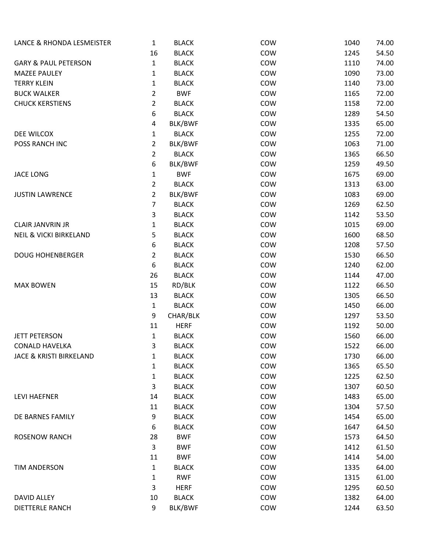| LANCE & RHONDA LESMEISTER         | $\mathbf{1}$   | <b>BLACK</b>                | COW        | 1040         | 74.00          |
|-----------------------------------|----------------|-----------------------------|------------|--------------|----------------|
|                                   | 16             | <b>BLACK</b>                | COW        | 1245         | 54.50          |
| <b>GARY &amp; PAUL PETERSON</b>   | $\mathbf{1}$   | <b>BLACK</b>                | COW        | 1110         | 74.00          |
| <b>MAZEE PAULEY</b>               | $\mathbf{1}$   | <b>BLACK</b>                | COW        | 1090         | 73.00          |
| <b>TERRY KLEIN</b>                | 1              | <b>BLACK</b>                | COW        | 1140         | 73.00          |
| <b>BUCK WALKER</b>                | $\overline{2}$ | <b>BWF</b>                  | COW        | 1165         | 72.00          |
| <b>CHUCK KERSTIENS</b>            | $\overline{2}$ | <b>BLACK</b>                | COW        | 1158         | 72.00          |
|                                   | 6              | <b>BLACK</b>                | COW        | 1289         | 54.50          |
|                                   | 4              | BLK/BWF                     | COW        | 1335         | 65.00          |
| DEE WILCOX                        | $\mathbf{1}$   | <b>BLACK</b>                | COW        | 1255         | 72.00          |
| POSS RANCH INC                    | $\overline{2}$ | BLK/BWF                     | COW        | 1063         | 71.00          |
|                                   | $\overline{2}$ | <b>BLACK</b>                | COW        | 1365         | 66.50          |
|                                   | 6              | BLK/BWF                     | COW        | 1259         | 49.50          |
| <b>JACE LONG</b>                  | $\mathbf{1}$   | <b>BWF</b>                  | COW        | 1675         | 69.00          |
|                                   | $\overline{2}$ | <b>BLACK</b>                | COW        | 1313         | 63.00          |
| <b>JUSTIN LAWRENCE</b>            | $\overline{2}$ | BLK/BWF                     | COW        | 1083         | 69.00          |
|                                   | $\overline{7}$ | <b>BLACK</b>                | COW        | 1269         | 62.50          |
|                                   | 3              | <b>BLACK</b>                | COW        | 1142         | 53.50          |
| <b>CLAIR JANVRIN JR</b>           | 1              | <b>BLACK</b>                | COW        | 1015         | 69.00          |
| <b>NEIL &amp; VICKI BIRKELAND</b> | 5              | <b>BLACK</b>                | COW        | 1600         | 68.50          |
|                                   | 6              | <b>BLACK</b>                | COW        | 1208         | 57.50          |
| <b>DOUG HOHENBERGER</b>           | $\overline{2}$ | <b>BLACK</b>                | COW        | 1530         | 66.50          |
|                                   | 6              | <b>BLACK</b>                | COW        | 1240         | 62.00          |
|                                   | 26             | <b>BLACK</b>                | COW        | 1144         | 47.00          |
| <b>MAX BOWEN</b>                  | 15             | RD/BLK                      | COW        | 1122         | 66.50          |
|                                   | 13             | <b>BLACK</b>                | COW        | 1305         | 66.50          |
|                                   | $\mathbf{1}$   | <b>BLACK</b>                | COW        | 1450         | 66.00          |
|                                   | 9              | CHAR/BLK                    | COW        | 1297         | 53.50          |
|                                   | 11             | <b>HERF</b>                 | COW        | 1192         | 50.00          |
| <b>JETT PETERSON</b>              | $\mathbf{1}$   | <b>BLACK</b>                | COW        | 1560         | 66.00          |
| <b>CONALD HAVELKA</b>             | 3              | <b>BLACK</b>                | COW        | 1522         | 66.00          |
| JACE & KRISTI BIRKELAND           | 1              | <b>BLACK</b>                | COW        | 1730         | 66.00          |
|                                   | 1              | <b>BLACK</b>                | <b>COW</b> | 1365         | 65.50          |
|                                   | $\mathbf{1}$   | <b>BLACK</b>                | COW        | 1225         | 62.50          |
|                                   | 3              | <b>BLACK</b>                | <b>COW</b> | 1307         | 60.50          |
| <b>LEVI HAEFNER</b>               | 14             | <b>BLACK</b>                | COW        | 1483         | 65.00          |
|                                   | 11             | <b>BLACK</b>                | <b>COW</b> | 1304         | 57.50          |
| DE BARNES FAMILY                  | 9              | <b>BLACK</b>                | COW        | 1454         | 65.00          |
|                                   | 6              | <b>BLACK</b>                | COW        | 1647         | 64.50          |
| <b>ROSENOW RANCH</b>              | 28             | <b>BWF</b>                  | COW        | 1573         | 64.50          |
|                                   | 3              | <b>BWF</b>                  | COW        | 1412         | 61.50          |
|                                   | 11             | <b>BWF</b>                  | COW        | 1414         | 54.00          |
| TIM ANDERSON                      | $\mathbf{1}$   | <b>BLACK</b>                | COW        | 1335         | 64.00          |
|                                   | 1              | <b>RWF</b>                  | COW<br>COW | 1315         | 61.00          |
| DAVID ALLEY                       | 3<br>10        | <b>HERF</b><br><b>BLACK</b> | COW        | 1295<br>1382 | 60.50<br>64.00 |
| DIETTERLE RANCH                   | 9              | BLK/BWF                     | COW        | 1244         | 63.50          |
|                                   |                |                             |            |              |                |